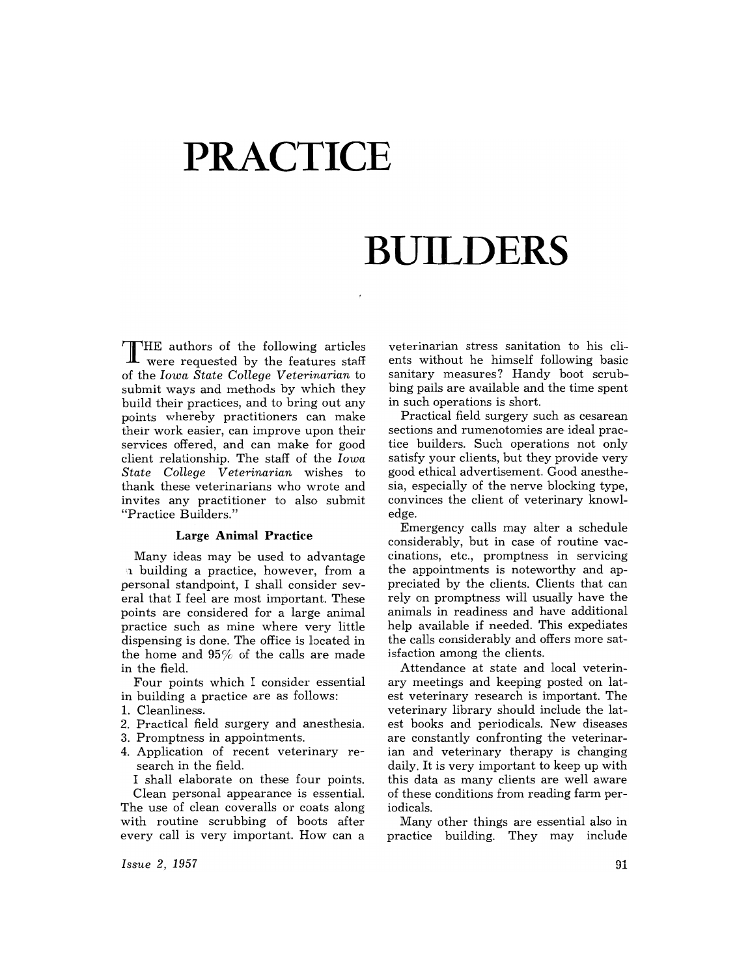# **PRACTICE**

## **BUILDERS**

THE authors of the following articles were requested by the features staff of the *Iowa State College Veterinarian* to submit ways and methods by which they build their practices, and to bring out any points whereby practitioners can make their work easier, can improve upon their services offered, and can make for good client relationship. The staff of the *Iowa State College Veterinarian* wishes to thank these veterinarians who wrote and invites any practitioner to also submit "Practice Builders."

#### **Large Animal Practice**

Many ideas may be used to advantage 11 building a practice, however, from a personal standpoint, I shall consider several that I feel are most important. These points are considered for a large animal practice such as mine where very little dispensing is done. The office is located in the home and 95% of the calls are made in the field.

Four points which I consider essential in building a practice are as follows:

- 1. Cleanliness.
- 2. Practical field surgery and anesthesia.
- 3. Promptness in appointments.
- 4. Application of recent veterinary research in the field.

I shall elaborate on these four points. Clean personal appearance is essential. The use of clean coveralls or coats along

with routine scrubbing of boots after every call is very important. How can a

*Issue* 2, 1957

veterinarian stress sanitation to his clients without he himself following basic sanitary measures? Handy boot scrubbing pails are available and the time spent in such operations is short.

Practical field surgery such as cesarean sections and rumenotomies are ideal practice builders. Such operations not only satisfy your clients, but they provide very good ethical advertisement. Good anesthesia, especially of the nerve blocking type, convinces the client of veterinary knowledge.

Emergency calls may alter a schedule considerably, but in case of routine vaccinations, etc., promptness in servicing the appointments is noteworthy and appreciated by the clients. Clients that can rely on promptness will usually have the animals in readiness and have additional help available if needed. This expediates the calls considerably and offers more satisfaction among the clients.

Attendance at state and local veterinary meetings and keeping posted on latest veterinary research is important. The veterinary library should include the latest books and periodicals. New diseases are constantly confronting the veterinarian and veterinary therapy is changing daily. It is very important to keep up with this data as many clients are well aware of these conditions from reading farm periodicals.

Many other things are essential also in practice building. They may include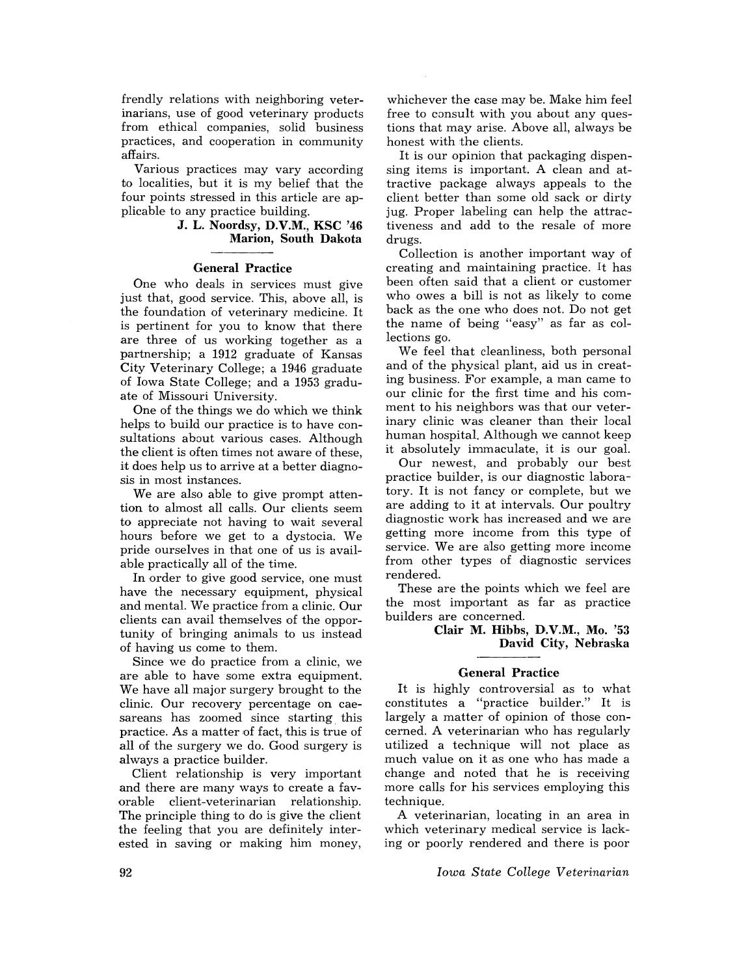frendly relations with neighboring veterinarians, use of good veterinary products from ethical companies, solid business practices, and cooperation in community affairs.

Various practices may vary according to localities, but it is my belief that the four points stressed in this article are applicable to any practice building.

## J. L. Noordsy, D.V.M., KSC '46 Marion, South Dakota

#### General Practice

One who deals in services must give just that, good service. This, above all, is the foundation of veterinary medicine. It is pertinent for you to know that there are three of us working together as a partnership; a 1912 graduate of Kansas City Veterinary College; a 1946 graduate of Iowa State College; and a 1953 graduate of Missouri University.

One of the things we do which we think helps to build our practice is to have consultations about various cases. Although the client is often times not aware of these, it does help us to arrive at a better diagnosis in most instances.

We are also able to give prompt attention to almost all calls. Our clients seem to appreciate not having to wait several hours before we get to a dystocia. We pride ourselves in that one of us is available practically all of the time.

In order to give good service, one must have the necessary equipment, physical and mental. We practice from a clinic. Our clients can avail themselves of the opportunity of bringing animals to us instead of having us come to them.

Since we do practice from a clinic, we are able to have some extra equipment. We have all major surgery brought to the clinic. Our recovery percentage on caesareans has zoomed since starting this practice. As a matter of fact, this is true of all of the surgery we do. Good surgery is always a practice builder.

Client relationship is very important and there are many ways to create a favorable client-veterinarian relationship. The principle thing to do is give the client the feeling that you are definitely interested in saving or making him money,

whichever the case may be. Make him feel free to consult with you about any questions that may arise. Above all, always be honest with the clients.

It is our opinion that packaging dispensing items is important. A clean and attractive package always appeals to the client better than some old sack or dirty jug. Proper labeling can help the attractiveness and add to the resale of more drugs.

Collection is another important way of creating and maintaining practice. It has been often said that a client or customer who owes a bill is not as likely to come back as the one who does not. Do not get the name of being "easy" as far as collections go.

We feel that cleanliness, both personal and of the physical plant, aid us in creating business. For example, a man came to our clinic for the first time and his comment to his neighbors was that our veterinary clinic was cleaner than their local human hospital. Although we cannot keep it absolutely immaculate, it is our goal.

Our newest, and probably our best practice builder, is our diagnostic laboratory. It is not fancy or complete, but we are adding to it at intervals. Our poultry diagnostic work has increased and we are getting more income from this type of service. We are also getting more income from other types of diagnostic services rendered.

These are the points which we feel are the most important as far as practice builders are concerned.

> Clair M. Hibbs, D.V.M., Mo. '53 David City, Nebraska

#### General Practice

It is highly controversial as to what constitutes a "practice builder." It is largely a matter of opinion of those concerned. A veterinarian who has regularly utilized a technique will not place as much value on it as one who has made a change and noted that he is receiving more calls for his services employing this technique.

A veterinarian, locating in an area in which veterinary medical service is lacking or poorly rendered and there is poor

*Iowa State College Veterinarian*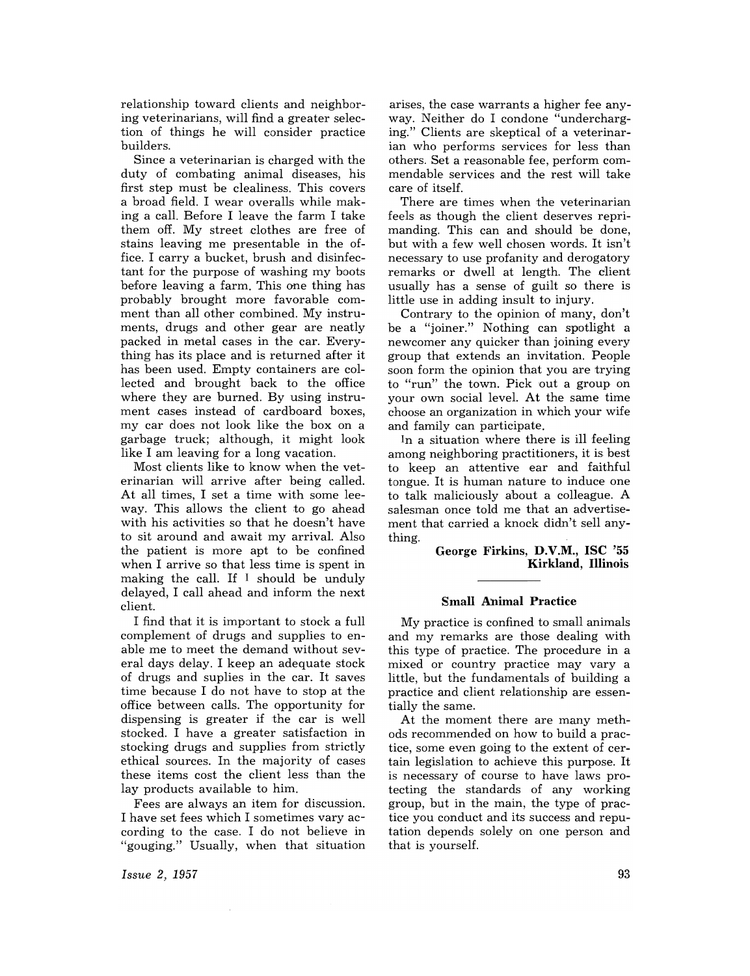relationship toward clients and neighboring veterinarians, will find a greater selection of things he will consider practice builders.

Since a veterinarian is charged with the duty of combating animal diseases, his first step must be clealiness. This covers a broad field. I wear overalls while making a call. Before I leave the farm I take them off. My street clothes are free of stains leaving me presentable in the office. I carry a bucket, brush and disinfectant for the purpose of washing my hoots before leaving a farm. This one thing has probably brought more favorable comment than all other combined. My instruments, drugs and other gear are neatly packed in metal cases in the car. Everything has its place and is returned after it has been used. Empty containers are collected and brought back to the office where they are burned. By using instrument cases instead of cardboard boxes, my car does not look like the box on a garbage truck; although, it might look like I am leaving for a long vacation.

Most clients like to know when the veterinarian will arrive after being called. At all times, I set a time with some leeway. This allows the client to go ahead with his activities so that he doesn't have to sit around and await my arrival. Also the patient is more apt to be confined when I arrive so that less time is spent in making the call. If I should be unduly delayed, I call ahead and inform the next client.

I find that it is important to stock a full complement of drugs and supplies to enable me to meet the demand without several days delay. I keep an adequate stock of drugs and suplies in the car. It saves time because I do not have to stop at the office between calls. The opportunity for dispensing is greater if the car is well stocked. I have a greater satisfaction in stocking drugs and supplies from strictly ethical sources. In the majority of cases these items cost the client less than the lay products available to him.

Fees are always an item for discussion. I have set fees which I sometimes vary according to the case. I do not believe in "gouging." Usually, when that situation

*Issue* 2, 1957

arises, the case warrants a higher fee anyway. Neither do I condone "undercharging." Clients are skeptical of a veterinarian who performs services for less than others. Set a reasonable fee, perform commendable services and the rest will take care of itself.

There are times when the veterinarian feels as though the client deserves reprimanding. This can and should be done, but with a few well chosen words. It isn't necessary to use profanity and derogatory remarks or dwell at length. The client usually has a sense of guilt so there is little use in adding insult to injury.

Contrary to the opinion of many, don't be a "joiner." Nothing can spotlight a newcomer any quicker than joining every group that extends an invitation. People soon form the opinion that you are trying to "run" the town. Pick out a group on your own social level. At the same time choose an organization in which your wife and family can participate.

In a situation where there is ill feeling among neighboring practitioners, it is best to keep an attentive ear and faithful tongue. It is human nature to induce one to talk maliciously about a colleague. A salesman once told me that an advertisement that carried a knock didn't sell anything.

> George Firkins, D.V.M., ISC '55 Kirkland, Illinois

#### Small **Animal** Practice

My practice is confined to small animals and my remarks are those dealing with this type of practice. The procedure in a mixed or country practice may vary a little, but the fundamentals of building a practice and client relationship are essentially the same.

At the moment there are many methods recommended on how to build a practice, some even going to the extent of certain legislation to achieve this purpose. It is necessary of course to have laws protecting the standards of any working group, but in the main, the type of practice you conduct and its success and reputation depends solely on one person and that is yourself.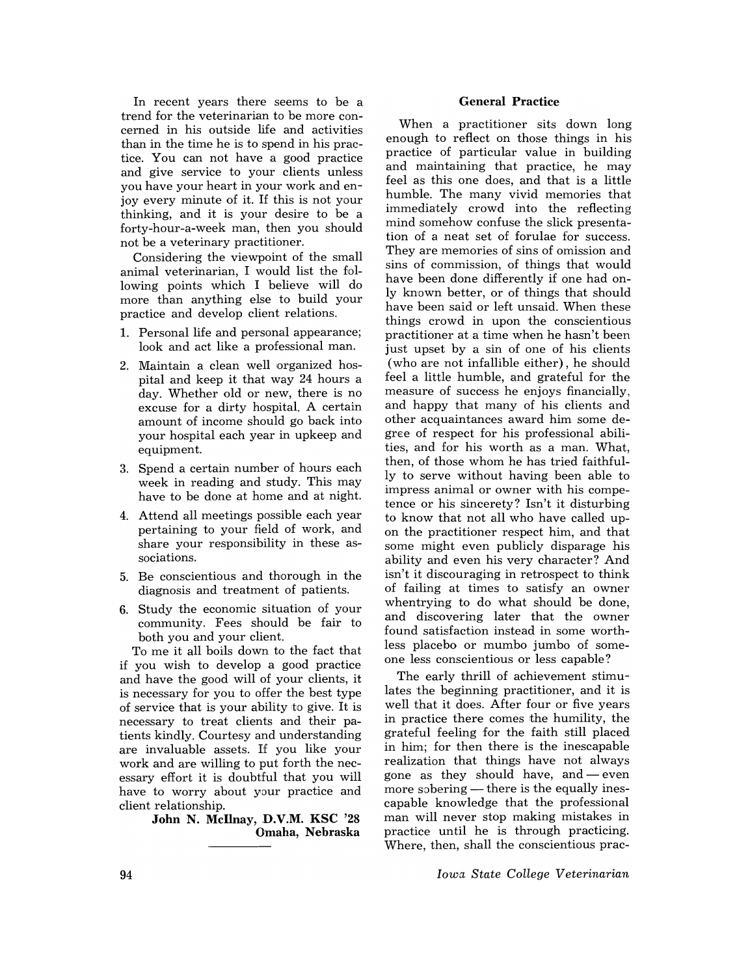In recent years there seems to be a trend for the veterinarian to be more concerned in his outside life and activities than in the time he is to spend in his practice. You can not have a good practice and give service to your clients unless you have your heart in your work and enjoy every minute of it. If this is not your thinking, and it is your desire to be a forty-hour-a-week man, then you should not be a veterinary practitioner.

Considering the viewpoint of the small animal veterinarian, I would list the following points which I believe will do more than anything else to build your practice and develop client relations.

- 1. Personal life and personal appearance; look and act like a professional man.
- 2. Maintain a clean well organized hospital and keep it that way 24 hours a day. Whether old or new, there is no excuse for a dirty hospital. A certain amount of income should go back into your hospital each year in upkeep and equipment.
- 3. Spend a certain number of hours each week in reading and study. This may have to be done at home and at night.
- 4. Attend all meetings possible each year pertaining to your field of work, and share your responsibility in these associations.
- 5. Be conscientious and thorough in the diagnosis and treatment of patients.
- 6. Study the economic situation of your community. Fees should be fair to both you and your client.

To me it all boils down to the fact that if you wish to develop a good practice and have the good will of your clients, it is necessary for you to offer the best type of service that is your ability to give. It is necessary to treat clients and their patients kindly. Courtesy and understanding are invaluable assets. If you like your work and are willing to put forth the necessary effort it is doubtful that you will have to worry about your practice and client relationship.

> John N. McIlnay, D.V.M. KSC '28 Omaha, Nebraska

## General Practice

When a practitioner sits down long enough to reflect on those things in his practice of particular value in building and maintaining that practice, he may feel as this one does, and that is a little humble. The many vivid memories that immediately crowd into the reflecting mind somehow confuse the slick presentation of a neat set of forulae for success. They are memories of sins of omission and sins of commission, of things that would have been done differently if one had only known better, or of things that should have been said or left unsaid. When these things crowd in upon the conscientious practitioner at a time when he hasn't been just upset by a sin of one of his clients (who are not infallible either), he should feel a little humble, and grateful for the measure of success he enjoys financially, and happy that many of his clients and other acquaintances award him some degree of respect for his professional abilities, and for his worth as a man. What, then, of those whom he has tried faithfully to serve without having been able to impress animal or owner with his competence or his sincerety? Isn't it disturbing to know that not all who have called upon the practitioner respect him, and that some might even publicly disparage his ability and even his very character? And isn't it discouraging in retrospect to think of failing at times to satisfy an owner when trying to do what should be done, and discovering later that the owner found satisfaction instead in some worthless placebo or mumbo jumbo of someone less conscientious or less capable?

The early thrill of achievement stimulates the beginning practitioner, and it is well that it does. After four or five years in practice there comes the humility, the grateful feeling for the faith still placed in him; for then there is the inescapable realization that things have not always gone as they should have, and  $-$  even more sobering - there is the equally inescapable knowledge that the professional man will never stop making mistakes in practice until he is through practicing. Where, then, shall the conscientious prac-

*Iowa State College Veterinarian*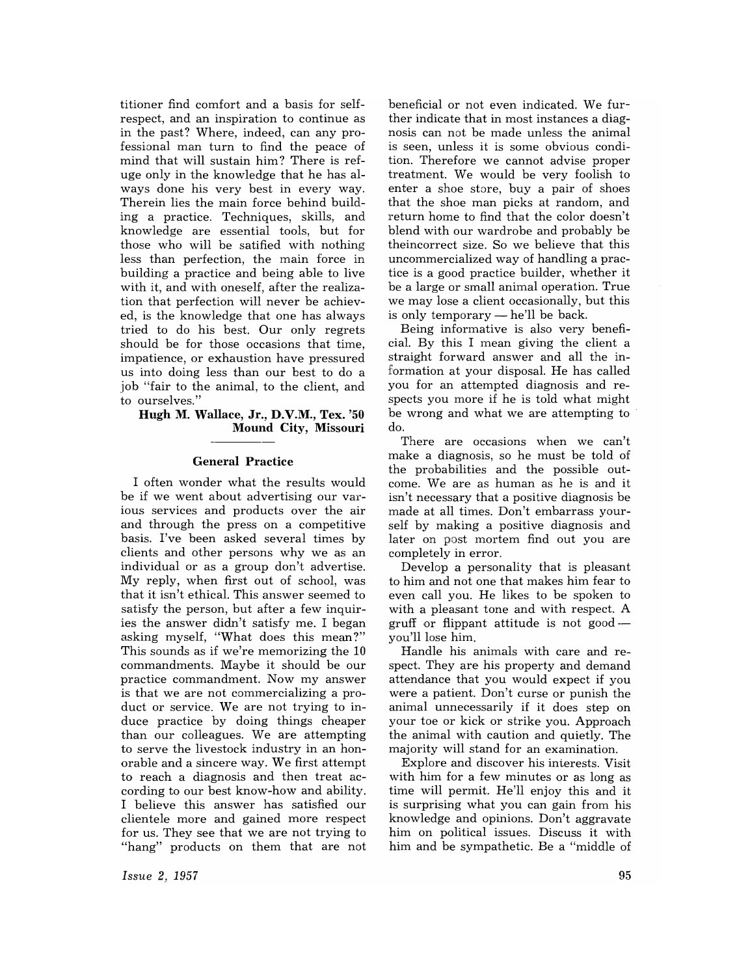titioner find comfort and a basis for selfrespect, and an inspiration to continue as in the past? Where, indeed, can any professional man turn to find the peace of mind that will sustain him? There is refuge only in the knowledge that he has always done his very best in every way. Therein lies the main force behind building a practice. Techniques, skills, and knowledge are essential tools, but for those who will be satified with nothing less than perfection, the main force in building a practice and being able to live with it, and with oneself, after the realization that perfection will never be achieved, is the knowledge that one has always tried to do his best. Our only regrets should be for those occasions that time, impatience, or exhaustion have pressured us into doing less than our best to do a job "fair to the animal, to the client, and to ourselves."

## **Hugh M. Wallace, Jr., D.V.M., Tex. '50** Mound City, Missouri

### General Practice

I often wonder what the results would be if we went about advertising our various services and products over the air and through the press on a competitive basis. I've been asked several times by clients and other persons why we as an individual or as a group don't advertise. My reply, when first out of school, was that it isn't ethical. This answer seemed to satisfy the person, but after a few inquiries the answer didn't satisfy me. I began asking myself, "What does this mean?" This sounds as if we're memorizing the 10 commandments. Maybe it should be our practice commandment. Now my answer is that we are not commercializing a product or service. We are not trying to induce practice by doing things cheaper than our colleagues. We are attempting to serve the livestock industry in an honorable and a sincere way. We first attempt to reach a diagnosis and then treat according to our best know-how and ability. I believe this answer has satisfied our clientele more and gained more respect for us. They see that we are not trying to "hang" products on them that are not beneficial or not even indicated. We further indicate that in most instances a diagnosis can not be made unless the animal is seen, unless it is some obvious condition. Therefore we cannot advise proper treatment. We would be very foolish to enter a shoe store, buy a pair of shoes that the shoe man picks at random, and return home to find that the color doesn't blend with our wardrobe and probably be theincorrect size. So we believe that this uncommercialized way of handling a practice is a good practice builder, whether it be a large or small animal operation. True we may lose a client occasionally, but this is only temporary - he'll be back.

Being informative is also very beneficial. By this I mean giving the client a straight forward answer and all the in formation at your disposal. He has called you for an attempted diagnosis and respects you more if he is told what might be wrong and what we are attempting to do.

There are occasions when we can't make a diagnosis, so he must be told of the probabilities and the possible outcome. We are as human as he is and it isn't necessary that a positive diagnosis be made at all times. Don't embarrass yourself by making a positive diagnosis and later on post mortem find out you are completely in error.

Develop a personality that is pleasant to him and not one that makes him fear to even call you. He likes to be spoken to with a pleasant tone and with respect. A gruff or flippant attitude is not goodyou'll lose him.

Handle his animals with care and respect. They are his property and demand attendance that you would expect if you were a patient. Don't curse or punish the animal unnecessarily if it does step on your toe or kick or strike you. Approach the animal with caution and quietly. The majority will stand for an examination.

Explore and discover his interests. Visit with him for a few minutes or as long as time will permit. He'll enjoy this and it is surprising what you can gain from his knowledge and opinions. Don't aggravate him on political issues. Discuss it with him and be sympathetic. Be a "middle of

*Issue* 2, 1957